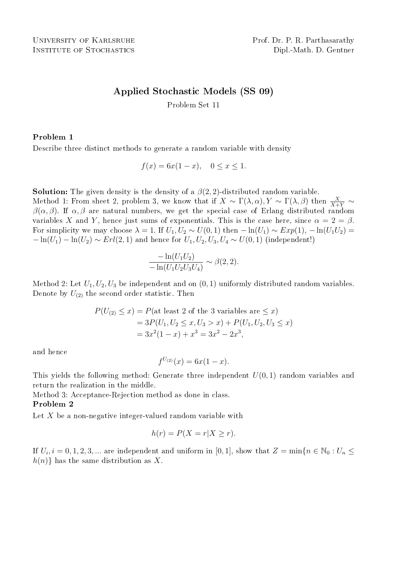# Applied Stochastic Models (SS 09)

Problem Set 11

## Problem 1

Describe three distinct methods to generate a random variable with density

 $f(x) = 6x(1-x), \quad 0 \le x \le 1.$ 

**Solution:** The given density is the density of a  $\beta(2, 2)$ -distributed random variable.

Method 1: From sheet 2, problem 3, we know that if  $X \sim \Gamma(\lambda, \alpha)$ ,  $Y \sim \Gamma(\lambda, \beta)$  then  $\frac{X}{X+Y} \sim$  $\beta(\alpha, \beta)$ . If  $\alpha, \beta$  are natural numbers, we get the special case of Erlang distributed random variables X and Y, hence just sums of exponentials. This is the case here, since  $\alpha = 2 = \beta$ . For simplicity we may choose  $\lambda = 1$ . If  $U_1, U_2 \sim U(0, 1)$  then  $-\ln(U_1) \sim Exp(1)$ ,  $-\ln(U_1U_2)$  $-\ln(U_1) - \ln(U_2) \sim Erl(2, 1)$  and hence for  $U_1, U_2, U_3, U_4 \sim U(0, 1)$  (independent!)

$$
\frac{-\ln(U_1U_2)}{-\ln(U_1U_2U_3U_4)} \sim \beta(2,2).
$$

Method 2: Let  $U_1, U_2, U_3$  be independent and on  $(0, 1)$  uniformly distributed random variables. Denote by  $U_{(2)}$  the second order statistic. Then

$$
P(U_{(2)} \le x) = P(\text{at least 2 of the 3 variables are } \le x)
$$
  
= 3P(U<sub>1</sub>, U<sub>2</sub> \le x, U<sub>3</sub> > x) + P(U<sub>1</sub>, U<sub>2</sub>, U<sub>3</sub> \le x)  
= 3x<sup>2</sup>(1 - x) + x<sup>3</sup> = 3x<sup>2</sup> - 2x<sup>3</sup>,

and hence

$$
f^{U_{(2)}}(x) = 6x(1-x).
$$

This yields the following method: Generate three independent  $U(0, 1)$  random variables and return the realization in the middle.

Method 3: Acceptance-Rejection method as done in class.

### Problem 2

Let  $X$  be a non-negative integer-valued random variable with

$$
h(r) = P(X = r | X \ge r).
$$

If  $U_i$ ,  $i = 0, 1, 2, 3, ...$  are independent and uniform in [0, 1], show that  $Z = \min\{n \in \mathbb{N}_0 : U_n \leq \mathbb{N}_0\}$  $h(n)$  has the same distribution as X.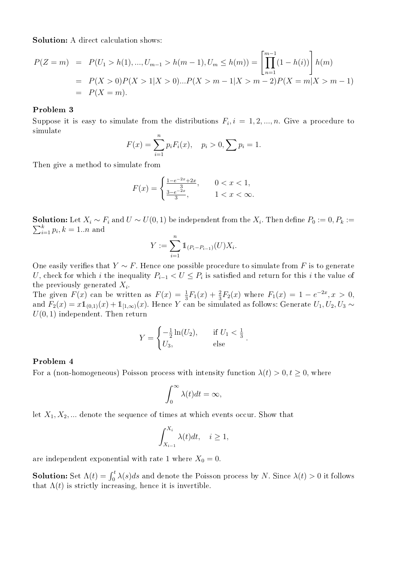Solution: A direct calculation shows:

$$
P(Z = m) = P(U_1 > h(1), ..., U_{m-1} > h(m-1), U_m \le h(m)) = \left[\prod_{n=1}^{m-1} (1 - h(i))\right] h(m)
$$
  
=  $P(X > 0)P(X > 1 | X > 0)...P(X > m - 1 | X > m - 2)P(X = m | X > m - 1)$   
=  $P(X = m)$ .

#### Problem 3

Suppose it is easy to simulate from the distributions  $F_i$ ,  $i = 1, 2, ..., n$ . Give a procedure to simulate

$$
F(x) = \sum_{i=1}^{n} p_i F_i(x), \quad p_i > 0, \sum_{i=1}^{n} p_i = 1.
$$

Then give a method to simulate from

$$
F(x) = \begin{cases} \frac{1 - e^{-2x} + 2x}{3}, & 0 < x < 1, \\ \frac{3 - e^{-2x}}{3}, & 1 < x < \infty. \end{cases}
$$

**Solution:** Let  $X_i \sim F_i$  and  $U \sim U(0, 1)$  be independent from the  $X_i$ . Then define  $P_0 := 0, P_k :=$  $_{i=1}^{k} p_i, k = 1..n$  and

$$
Y := \sum_{i=1}^{n} \mathbb{1}_{(P_i - P_{i-1})}(U) X_i.
$$

One easily verifies that  $Y \sim F$ . Hence one possible procedure to simulate from F is to generate U, check for which i the inequality  $P_{i-1} < U \leq P_i$  is satisfied and return for this i the value of the previously generated  $X_i$ .

The given  $F(x)$  can be written as  $F(x) = \frac{1}{3}F_1(x) + \frac{2}{3}F_2(x)$  where  $F_1(x) = 1 - e^{-2x}, x > 0$ , and  $F_2(x) = x\mathbb{1}_{(0,1)}(x) + \mathbb{1}_{[1,\infty)}(x)$ . Hence Y can be simulated as follows: Generate  $U_1, U_2, U_3 \sim$  $U(0, 1)$  independent. Then return

$$
Y = \begin{cases} -\frac{1}{2}\ln(U_2), & \text{if } U_1 < \frac{1}{3} \\ U_3, & \text{else} \end{cases}.
$$

### Problem 4

For a (non-homogeneous) Poisson process with intensity function  $\lambda(t) > 0, t \ge 0$ , where

$$
\int_0^\infty \lambda(t)dt = \infty,
$$

let  $X_1, X_2, \ldots$  denote the sequence of times at which events occur. Show that

$$
\int_{X_{i-1}}^{X_i} \lambda(t)dt, \quad i \ge 1,
$$

are independent exponential with rate 1 where  $X_0 = 0$ .

**Solution:** Set  $\Lambda(t) = \int_0^t \lambda(s)ds$  and denote the Poisson process by N. Since  $\lambda(t) > 0$  it follows that  $\Lambda(t)$  is strictly increasing, hence it is invertible.